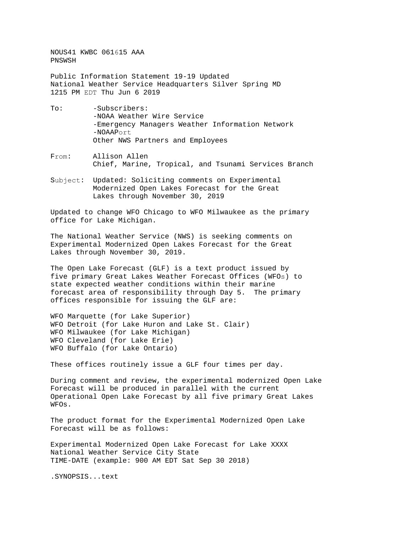NOUS41 KWBC 061615 AAA PNSWSH

Public Information Statement 19-19 Updated National Weather Service Headquarters Silver Spring MD 1215 PM EDT Thu Jun 6 2019

- To: -Subscribers: -NOAA Weather Wire Service -Emergency Managers Weather Information Network -NOAAPort Other NWS Partners and Employees
- From: Allison Allen Chief, Marine, Tropical, and Tsunami Services Branch
- Subject: Updated: Soliciting comments on Experimental Modernized Open Lakes Forecast for the Great Lakes through November 30, 2019

Updated to change WFO Chicago to WFO Milwaukee as the primary office for Lake Michigan.

The National Weather Service (NWS) is seeking comments on Experimental Modernized Open Lakes Forecast for the Great Lakes through November 30, 2019.

The Open Lake Forecast (GLF) is a text product issued by five primary Great Lakes Weather Forecast Offices (WFOs) to state expected weather conditions within their marine forecast area of responsibility through Day 5. The primary offices responsible for issuing the GLF are:

WFO Marquette (for Lake Superior) WFO Detroit (for Lake Huron and Lake St. Clair) WFO Milwaukee (for Lake Michigan) WFO Cleveland (for Lake Erie) WFO Buffalo (for Lake Ontario)

These offices routinely issue a GLF four times per day.

During comment and review, the experimental modernized Open Lake Forecast will be produced in parallel with the current Operational Open Lake Forecast by all five primary Great Lakes WFOs.

The product format for the Experimental Modernized Open Lake Forecast will be as follows:

Experimental Modernized Open Lake Forecast for Lake XXXX National Weather Service City State TIME-DATE (example: 900 AM EDT Sat Sep 30 2018)

.SYNOPSIS...text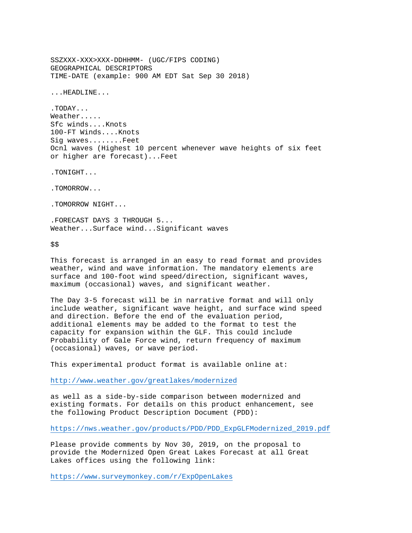SSZXXX-XXX>XXX-DDHHMM- (UGC/FIPS CODING) GEOGRAPHICAL DESCRIPTORS TIME-DATE (example: 900 AM EDT Sat Sep 30 2018) ...HEADLINE... .TODAY... Weather..... Sfc winds....Knots 100-FT Winds....Knots Sig waves........Feet Ocnl waves (Highest 10 percent whenever wave heights of six feet or higher are forecast)...Feet .TONIGHT... .TOMORROW... .TOMORROW NIGHT... .FORECAST DAYS 3 THROUGH 5...

Weather...Surface wind...Significant waves

\$\$

This forecast is arranged in an easy to read format and provides weather, wind and wave information. The mandatory elements are surface and 100-foot wind speed/direction, significant waves, maximum (occasional) waves, and significant weather.

The Day 3-5 forecast will be in narrative format and will only include weather, significant wave height, and surface wind speed and direction. Before the end of the evaluation period, additional elements may be added to the format to test the capacity for expansion within the GLF. This could include Probability of Gale Force wind, return frequency of maximum (occasional) waves, or wave period.

This experimental product format is available online at:

<http://www.weather.gov/greatlakes/modernized>

as well as a side-by-side comparison between modernized and existing formats. For details on this product enhancement, see the following Product Description Document (PDD):

[https://nws.weather.gov/products/PDD/PDD\\_ExpGLFModernized\\_2019.pdf](https://nws.weather.gov/products/PDD/PDD_ExpGLFModernized_2019.pdf)

Please provide comments by Nov 30, 2019, on the proposal to provide the Modernized Open Great Lakes Forecast at all Great Lakes offices using the following link:

<https://www.surveymonkey.com/r/ExpOpenLakes>